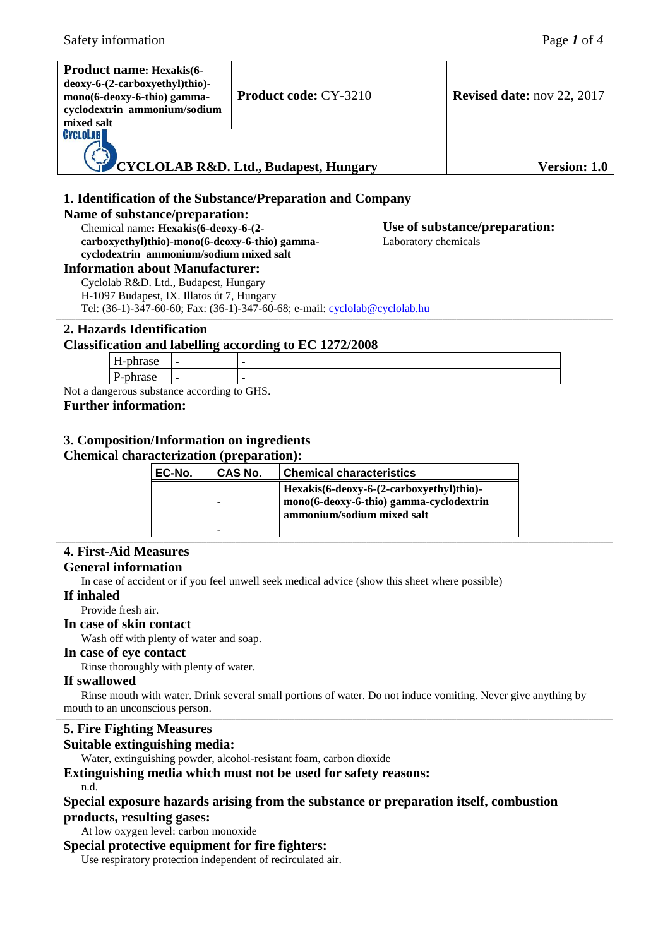**Use of substance/preparation:**

Laboratory chemicals

| <b>Product name: Hexakis(6-</b><br>deoxy-6-(2-carboxyethyl)thio)-<br>mono(6-deoxy-6-thio) gamma-<br>cyclodextrin ammonium/sodium<br>mixed salt | <b>Product code: CY-3210</b>          | <b>Revised date:</b> nov 22, 2017 |
|------------------------------------------------------------------------------------------------------------------------------------------------|---------------------------------------|-----------------------------------|
| CYCLOLABI                                                                                                                                      | CYCLOLAB R&D. Ltd., Budapest, Hungary | <b>Version: 1.0</b>               |

# **1. Identification of the Substance/Preparation and Company**

### **Name of substance/preparation:**

Chemical name**: Hexakis(6-deoxy-6-(2 carboxyethyl)thio)-mono(6-deoxy-6-thio) gammacyclodextrin ammonium/sodium mixed salt**

### **Information about Manufacturer:**

Cyclolab R&D. Ltd., Budapest, Hungary H-1097 Budapest, IX. Illatos út 7, Hungary Tel: (36-1)-347-60-60; Fax: (36-1)-347-60-68; e-mail: [cyclolab@cyclolab.hu](mailto:cyclolab@cyclolab.hu)

# **2. Hazards Identification**

### **Classification and labelling according to EC 1272/2008**

| $ -$<br>-рицаж<br>**                     | - | - |  |
|------------------------------------------|---|---|--|
| $\mathbf{r}$<br>. .<br>.<br>.<br>ື້<br>- | - |   |  |
|                                          |   |   |  |

Not a dangerous substance according to GHS. **Further information:**

### **3. Composition/Information on ingredients Chemical characterization (preparation):**

| EC-No. | CAS No. | <b>Chemical characteristics</b>          |
|--------|---------|------------------------------------------|
|        |         | Hexakis(6-deoxy-6-(2-carboxyethyl)thio)- |
|        | -       | mono(6-deoxy-6-thio) gamma-cyclodextrin  |
|        |         | ammonium/sodium mixed salt               |
|        | -       |                                          |

# **4. First-Aid Measures**

# **General information**

In case of accident or if you feel unwell seek medical advice (show this sheet where possible)

### **If inhaled**

Provide fresh air.

# **In case of skin contact**

Wash off with plenty of water and soap.

### **In case of eye contact**

Rinse thoroughly with plenty of water.

# **If swallowed**

Rinse mouth with water. Drink several small portions of water. Do not induce vomiting. Never give anything by mouth to an unconscious person.

# **5. Fire Fighting Measures**

# **Suitable extinguishing media:**

Water, extinguishing powder, alcohol-resistant foam, carbon dioxide

# **Extinguishing media which must not be used for safety reasons:**

n.d.

### **Special exposure hazards arising from the substance or preparation itself, combustion products, resulting gases:**

At low oxygen level: carbon monoxide

### **Special protective equipment for fire fighters:**

Use respiratory protection independent of recirculated air.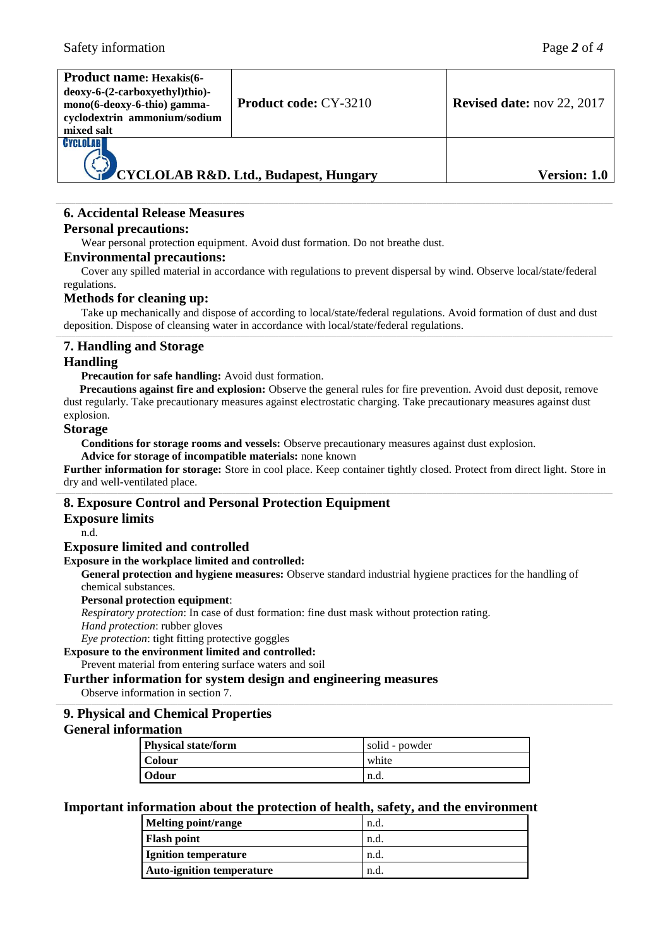| <b>Product name: Hexakis(6-</b><br>deoxy-6-(2-carboxyethyl)thio)-<br>mono(6-deoxy-6-thio) gamma-<br>cyclodextrin ammonium/sodium<br>mixed salt | <b>Product code: CY-3210</b>          | <b>Revised date:</b> nov 22, 2017 |
|------------------------------------------------------------------------------------------------------------------------------------------------|---------------------------------------|-----------------------------------|
| CYCLOLABI                                                                                                                                      | CYCLOLAB R&D. Ltd., Budapest, Hungary | Version: 1.0                      |

# **6. Accidental Release Measures**

# **Personal precautions:**

Wear personal protection equipment. Avoid dust formation. Do not breathe dust.

### **Environmental precautions:**

Cover any spilled material in accordance with regulations to prevent dispersal by wind. Observe local/state/federal regulations.

### **Methods for cleaning up:**

Take up mechanically and dispose of according to local/state/federal regulations. Avoid formation of dust and dust deposition. Dispose of cleansing water in accordance with local/state/federal regulations.

# **7. Handling and Storage**

# **Handling**

### **Precaution for safe handling:** Avoid dust formation.

**Precautions against fire and explosion:** Observe the general rules for fire prevention. Avoid dust deposit, remove dust regularly. Take precautionary measures against electrostatic charging. Take precautionary measures against dust explosion.

### **Storage**

**Conditions for storage rooms and vessels:** Observe precautionary measures against dust explosion.

**Advice for storage of incompatible materials:** none known

**Further information for storage:** Store in cool place. Keep container tightly closed. Protect from direct light. Store in dry and well-ventilated place.

# **8. Exposure Control and Personal Protection Equipment**

### **Exposure limits**

n.d.

### **Exposure limited and controlled**

### **Exposure in the workplace limited and controlled:**

**General protection and hygiene measures:** Observe standard industrial hygiene practices for the handling of chemical substances.

### **Personal protection equipment**:

*Respiratory protection*: In case of dust formation: fine dust mask without protection rating. *Hand protection*: rubber gloves

#### *Eye protection*: tight fitting protective goggles **Exposure to the environment limited and controlled:**

Prevent material from entering surface waters and soil

# **Further information for system design and engineering measures**

Observe information in section 7.

# **9. Physical and Chemical Properties**

### **General information**

| <b>Physical state/form</b> | solid - powder |  |
|----------------------------|----------------|--|
| <b>Colour</b>              | white          |  |
| Odour                      | n.d.           |  |

### **Important information about the protection of health, safety, and the environment**

| Melting point/range              | n.d. |
|----------------------------------|------|
| <b>Flash point</b>               | n.d. |
| <b>Ignition temperature</b>      | n.d. |
| <b>Auto-ignition temperature</b> | n.d. |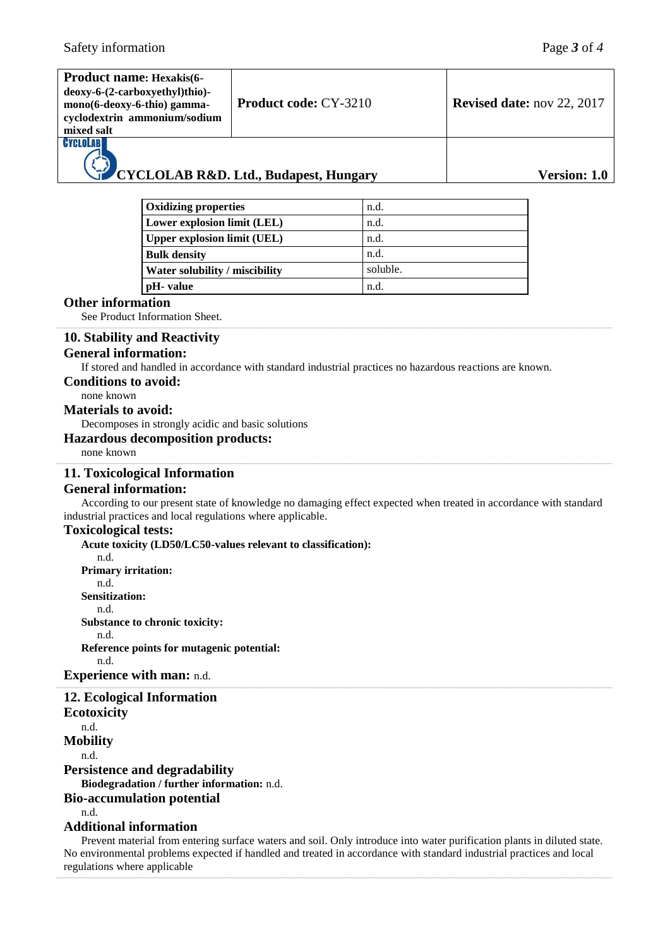| mixed salt                                | <b>Product name: Hexakis(6-</b><br>deoxy-6-(2-carboxyethyl)thio)-<br>mono(6-deoxy-6-thio) gamma-<br>cyclodextrin ammonium/sodium | <b>Product code: CY-3210</b> |      | <b>Revised date:</b> nov 22, 2017                                                                                |
|-------------------------------------------|----------------------------------------------------------------------------------------------------------------------------------|------------------------------|------|------------------------------------------------------------------------------------------------------------------|
| CYCLOLAB                                  | CYCLOLAB R&D. Ltd., Budapest, Hungary                                                                                            |                              |      | Version: 1.0                                                                                                     |
|                                           | <b>Oxidizing properties</b>                                                                                                      |                              | n.d. |                                                                                                                  |
|                                           | Lower explosion limit (LEL)                                                                                                      |                              | n.d. |                                                                                                                  |
|                                           | <b>Upper explosion limit (UEL)</b>                                                                                               |                              | n.d. |                                                                                                                  |
|                                           | <b>Bulk density</b>                                                                                                              |                              | n.d. |                                                                                                                  |
| Water solubility / miscibility            |                                                                                                                                  | soluble.                     |      |                                                                                                                  |
| pH- value                                 |                                                                                                                                  | n.d.                         |      |                                                                                                                  |
| <b>Other information</b>                  | See Product Information Sheet.                                                                                                   |                              |      |                                                                                                                  |
|                                           | 10. Stability and Reactivity<br><b>General information:</b>                                                                      |                              |      | If stored and handled in accordance with standard industrial practices no hazardous reactions are known.         |
| <b>Conditions to avoid:</b><br>none known |                                                                                                                                  |                              |      |                                                                                                                  |
| <b>Materials to avoid:</b>                |                                                                                                                                  |                              |      |                                                                                                                  |
|                                           | Decomposes in strongly acidic and basic solutions                                                                                |                              |      |                                                                                                                  |
| none known                                | <b>Hazardous decomposition products:</b>                                                                                         |                              |      |                                                                                                                  |
|                                           | 11. Toxicological Information                                                                                                    |                              |      |                                                                                                                  |
|                                           | <b>General information:</b>                                                                                                      |                              |      |                                                                                                                  |
|                                           |                                                                                                                                  |                              |      | According to our present state of knowledge no damaging effect expected when treated in accordance with standard |
|                                           | industrial practices and local regulations where applicable.                                                                     |                              |      |                                                                                                                  |
| <b>Toxicological tests:</b>               |                                                                                                                                  |                              |      |                                                                                                                  |

**Acute toxicity (LD50/LC50-values relevant to classification):** n.d. **Primary irritation:** n.d. **Sensitization:** n.d. **Substance to chronic toxicity:** n.d. **Reference points for mutagenic potential:** n.d. **Experience with man:** n.d.

### **12. Ecological Information Ecotoxicity** n.d. **Mobility** n.d. **Persistence and degradability**

**Biodegradation / further information:** n.d.

# **Bio-accumulation potential**

n.d.

# **Additional information**

Prevent material from entering surface waters and soil. Only introduce into water purification plants in diluted state. No environmental problems expected if handled and treated in accordance with standard industrial practices and local regulations where applicable